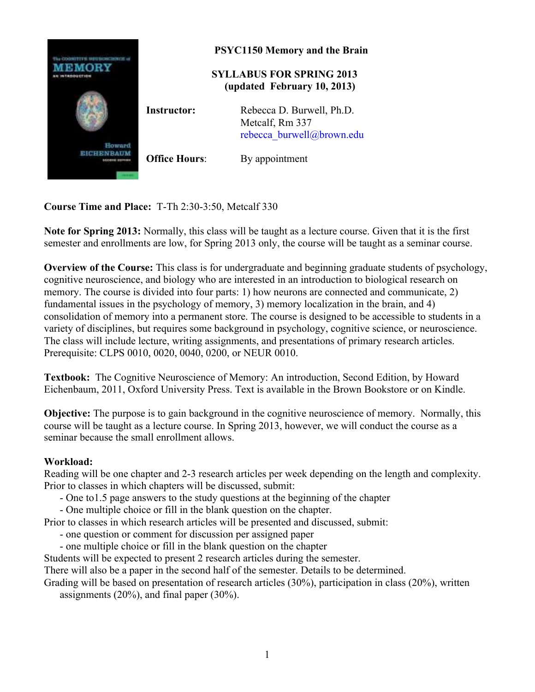

**Course Time and Place:** T-Th 2:30-3:50, Metcalf 330

**Note for Spring 2013:** Normally, this class will be taught as a lecture course. Given that it is the first semester and enrollments are low, for Spring 2013 only, the course will be taught as a seminar course.

**Overview of the Course:** This class is for undergraduate and beginning graduate students of psychology, cognitive neuroscience, and biology who are interested in an introduction to biological research on memory. The course is divided into four parts: 1) how neurons are connected and communicate, 2) fundamental issues in the psychology of memory, 3) memory localization in the brain, and 4) consolidation of memory into a permanent store. The course is designed to be accessible to students in a variety of disciplines, but requires some background in psychology, cognitive science, or neuroscience. The class will include lecture, writing assignments, and presentations of primary research articles. Prerequisite: CLPS 0010, 0020, 0040, 0200, or NEUR 0010.

**Textbook:** The Cognitive Neuroscience of Memory: An introduction, Second Edition, by Howard Eichenbaum, 2011, Oxford University Press. Text is available in the Brown Bookstore or on Kindle.

**Objective:** The purpose is to gain background in the cognitive neuroscience of memory. Normally, this course will be taught as a lecture course. In Spring 2013, however, we will conduct the course as a seminar because the small enrollment allows.

# **Workload:**

Reading will be one chapter and 2-3 research articles per week depending on the length and complexity. Prior to classes in which chapters will be discussed, submit:

- One to1.5 page answers to the study questions at the beginning of the chapter
- One multiple choice or fill in the blank question on the chapter.

Prior to classes in which research articles will be presented and discussed, submit:

- one question or comment for discussion per assigned paper
- one multiple choice or fill in the blank question on the chapter

Students will be expected to present 2 research articles during the semester.

There will also be a paper in the second half of the semester. Details to be determined.

Grading will be based on presentation of research articles (30%), participation in class (20%), written assignments (20%), and final paper (30%).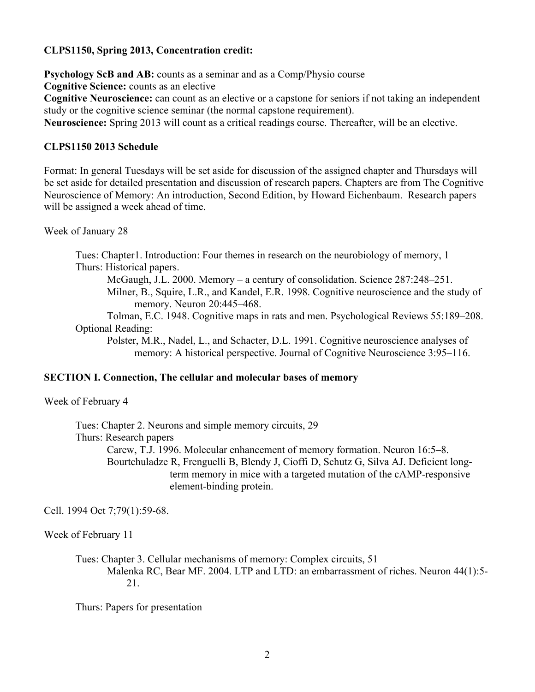# **CLPS1150, Spring 2013, Concentration credit:**

**Psychology ScB and AB:** counts as a seminar and as a Comp/Physio course **Cognitive Science:** counts as an elective **Cognitive Neuroscience:** can count as an elective or a capstone for seniors if not taking an independent study or the cognitive science seminar (the normal capstone requirement).

**Neuroscience:** Spring 2013 will count as a critical readings course. Thereafter, will be an elective.

## **CLPS1150 2013 Schedule**

Format: In general Tuesdays will be set aside for discussion of the assigned chapter and Thursdays will be set aside for detailed presentation and discussion of research papers. Chapters are from The Cognitive Neuroscience of Memory: An introduction, Second Edition, by Howard Eichenbaum. Research papers will be assigned a week ahead of time.

Week of January 28

Tues: Chapter1. Introduction: Four themes in research on the neurobiology of memory, 1 Thurs: Historical papers.

McGaugh, J.L. 2000. Memory – a century of consolidation. Science 287:248–251.

Milner, B., Squire, L.R., and Kandel, E.R. 1998. Cognitive neuroscience and the study of memory. Neuron 20:445–468.

Tolman, E.C. 1948. Cognitive maps in rats and men. Psychological Reviews 55:189–208. Optional Reading:

Polster, M.R., Nadel, L., and Schacter, D.L. 1991. Cognitive neuroscience analyses of memory: A historical perspective. Journal of Cognitive Neuroscience 3:95–116.

#### **SECTION I. Connection, The cellular and molecular bases of memory**

Week of February 4

Tues: Chapter 2. Neurons and simple memory circuits, 29 Thurs: Research papers Carew, T.J. 1996. Molecular enhancement of memory formation. Neuron 16:5–8. Bourtchuladze R, Frenguelli B, Blendy J, Cioffi D, Schutz G, Silva AJ. Deficient longterm memory in mice with a targeted mutation of the cAMP-responsive element-binding protein.

Cell. 1994 Oct 7;79(1):59-68.

Week of February 11

Tues: Chapter 3. Cellular mechanisms of memory: Complex circuits, 51 Malenka RC, Bear MF. 2004. LTP and LTD: an embarrassment of riches. Neuron 44(1):5- 21.

Thurs: Papers for presentation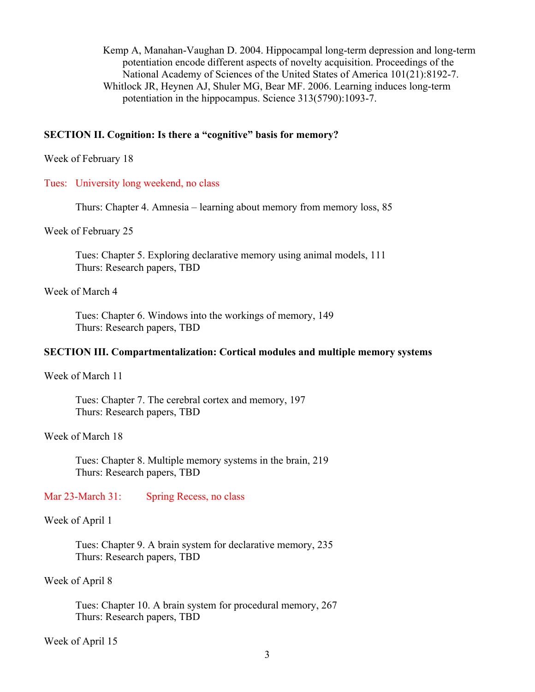Kemp A, Manahan-Vaughan D. 2004. Hippocampal long-term depression and long-term potentiation encode different aspects of novelty acquisition. Proceedings of the National Academy of Sciences of the United States of America 101(21):8192-7. Whitlock JR, Heynen AJ, Shuler MG, Bear MF. 2006. Learning induces long-term potentiation in the hippocampus. Science 313(5790):1093-7.

## **SECTION II. Cognition: Is there a "cognitive" basis for memory?**

#### Week of February 18

## Tues: University long weekend, no class

Thurs: Chapter 4. Amnesia – learning about memory from memory loss, 85

Week of February 25

Tues: Chapter 5. Exploring declarative memory using animal models, 111 Thurs: Research papers, TBD

#### Week of March 4

Tues: Chapter 6. Windows into the workings of memory, 149 Thurs: Research papers, TBD

## **SECTION III. Compartmentalization: Cortical modules and multiple memory systems**

Week of March 11

Tues: Chapter 7. The cerebral cortex and memory, 197 Thurs: Research papers, TBD

Week of March 18

Tues: Chapter 8. Multiple memory systems in the brain, 219 Thurs: Research papers, TBD

Mar 23-March 31: Spring Recess, no class

Week of April 1

Tues: Chapter 9. A brain system for declarative memory, 235 Thurs: Research papers, TBD

Week of April 8

Tues: Chapter 10. A brain system for procedural memory, 267 Thurs: Research papers, TBD

Week of April 15